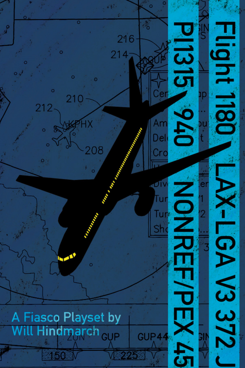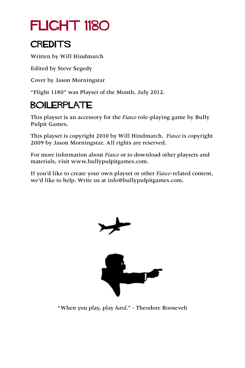## FLIGHT 1180

#### **CREDITS**

Written by Will Hindmarch

Edited by Steve Segedy

Cover by Jason Morningstar

"Flight 1180" was Playset of the Month, July 2012.

#### BOILERPLATE

This playset is an accessory for the *Fiasco* role-playing game by Bully Pulpit Games.

This playset is copyright 2010 by Will Hindmarch. *Fiasco* is copyright 2009 by Jason Morningstar. All rights are reserved.

For more information about *Fiasco* or to download other playsets and materials, visit [www.bullypulpitgames.com](http://www.bullypulpitgames.com).

If you'd like to create your own playset or other *Fiasco*-related content, we'd like to help. Write us at [info@bullypulpitgames.com.](mailto:info%40bullypulpitgames.com?subject=)



"When you play, play *hard*." - Theodore Roosevelt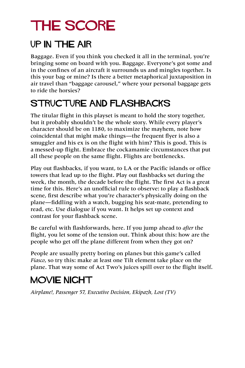## THE SCORE

#### Up In the Air

Baggage. Even if you think you checked it all in the terminal, you're bringing some on board with you. Baggage. Everyone's got some and in the confines of an aircraft it surrounds us and mingles together. Is this your bag or mine? Is there a better metaphorical juxtaposition in air travel than "baggage carousel," where your personal baggage gets to ride the horsies?

#### STRUCTURE AND FLASHBACKS

The titular flight in this playset is meant to hold the story together, but it probably shouldn't be the whole story. While every player's character should be on 1180, to maximize the mayhem, note how coincidental that might make things—the frequent flyer is also a smuggler and his ex is on the flight with him? This is good. This is a messed-up flight. Embrace the cockamamie circumstances that put all these people on the same flight. Flights are bottlenecks.

Play out flashbacks, if you want, to LA or the Pacific islands or office towers that lead up to the flight. Play out flashbacks set during the week, the month, the decade before the flight. The first Act is a great time for this. Here's an unofficial rule to observe: to play a flashback scene, first describe what you're character's physically doing on the plane—fiddling with a watch, bugging his seat-mate, pretending to read, etc. Use dialogue if you want. It helps set up context and contrast for your flashback scene.

Be careful with flashforwards, here. If you jump ahead to *after* the flight, you let some of the tension out. Think about this: how are the people who get off the plane different from when they got on?

People are usually pretty boring on planes but this game's called *Fiasco*, so try this: make at least one Tilt element take place on the plane. That way some of Act Two's juices spill over to the flight itself.

#### MOVIE NIGHT

*Airplane!, Passenger 57, Executive Decision, Ekipazh, Lost (TV)*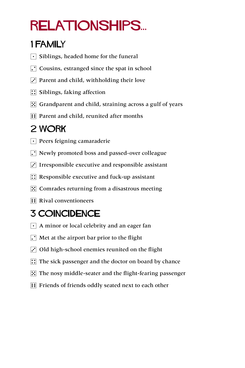# relationships...

#### 1 Family

- $\lceil \cdot \rceil$  Siblings, headed home for the funeral
- $\Gamma$  Cousins, estranged since the spat in school
- $\vec{3}$  Parent and child, withholding their love
- $\boxed{\therefore}$  Siblings, faking affection
- $\mathbb{E}$  Grandparent and child, straining across a gulf of years
- **11** Parent and child, reunited after months

### 2 Work

- $\lceil \cdot \rceil$  Peers feigning camaraderie
- $\lceil \cdot \rceil$  Newly promoted boss and passed-over colleague
- $\cdot$  Irresponsible executive and responsible assistant
- $\therefore$  Responsible executive and fuck-up assistant
- $\mathbb{E}$  Comrades returning from a disastrous meeting
- **1** Rival conventioneers

### 3 Coincidence

- $\lceil \cdot \rceil$  A minor or local celebrity and an eager fan
- $\Gamma$  Met at the airport bar prior to the flight
- $\ddot{\cdot}$  Old high-school enemies reunited on the flight
- $\therefore$  The sick passenger and the doctor on board by chance
- $\mathbb{E}$  The nosy middle-seater and the flight-fearing passenger
- **Friends of friends oddly seated next to each other**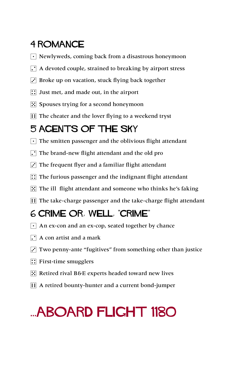#### 4 Romance

- $\lceil \cdot \rceil$  Newlyweds, coming back from a disastrous honeymoon
- $\Gamma$  A devoted couple, strained to breaking by airport stress
- $\overline{3}$  Broke up on vacation, stuck flying back together
- $\boxed{\therefore}$  Just met, and made out, in the airport
- $\mathbb{E}$  Spouses trying for a second honeymoon
- **Fig.** The cheater and the lover flying to a weekend tryst

#### 5 Agents of the Sky

- $\lceil \cdot \rceil$  The smitten passenger and the oblivious flight attendant
- $\Gamma$  The brand-new flight attendant and the old pro
- $\cdot$  The frequent flyer and a familiar flight attendant
- $\therefore$  The furious passenger and the indignant flight attendant
- $\therefore$  The ill flight attendant and someone who thinks he's faking
- **FEE The take-charge passenger and the take-charge flight attendant**

#### 6 Crime or, well, "crime"

- $\lceil \cdot \rceil$  An ex-con and an ex-cop, seated together by chance
- $\Gamma$  A con artist and a mark
- $\overline{3}$  Two penny-ante "fugitives" from something other than justice
- $\boxed{\therefore}$  First-time smugglers
- $\mathbb{E}$  Retired rival B&E experts headed toward new lives
- **13** A retired bounty-hunter and a current bond-jumper

## ...Aboard Flight 1180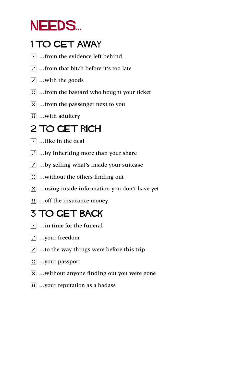### NEEDS...

#### 1 TO GET AWAY

- $\lceil \cdot \rceil$  ... from the evidence left behind
- $\Gamma$  ... from that bitch before it's too late
- $\overline{S}$  ...with the goods
- $\boxed{\therefore}$  ... from the bastard who bought your ticket
- $\mathbb{E}$  ... from the passenger next to you
- $\overline{ii}$  ...with adultery

#### 2 TO GET RICH

- $\lceil \cdot \rceil$  ... like in the deal
- $[$ .  $]$  ...by inheriting more than your share
- $\ddot{\cdot}$  ...by selling what's inside your suitcase
- $\boxed{::}$  ...without the others finding out
- $\mathbb{E}$  ... using inside information you don't have yet
- **11** ... off the insurance money

#### 3 TO Get Back

- $\lceil \cdot \rceil$  …in time for the funeral
- $\Gamma$  ... your freedom
- $\overline{3}$  ...to the way things were before this trip
- $\boxed{\therefore}$  ...your passport
- $\mathbb{E}$  ...without anyone finding out you were gone
- **1** …your reputation as a badass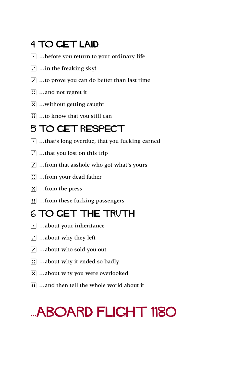#### 4 TO Get Laid

- $\lceil \cdot \rceil$  ...before you return to your ordinary life
- $\boxed{\cdot}$  ... in the freaking sky!
- $\ddot{\mathbf{3}}$  ...to prove you can do better than last time
- $\boxed{\therefore}$  ... and not regret it
- $\mathbb{E}$  ...without getting caught
- $\boxed{ii}$  ...to know that you still can

#### 5 To Get Respect

- $\lceil \cdot \rceil$  ...that's long overdue, that you fucking earned
- $\Gamma$  ...that you lost on this trip
- $\ddot{\cdot}$  ... from that asshole who got what's yours
- $\boxed{\therefore}$  ... from your dead father
- $\boxed{5}$  ... from the press
- **11** ...from these fucking passengers

#### 6 TO Get The Truth

- $\lceil \cdot \rceil$  ...about your inheritance
- $\Gamma$  ...about why they left
- $\ddot{\cdot}$  ... about who sold you out
- **1**: ... about why it ended so badly
- **5** ... about why you were overlooked
- **11** …and then tell the whole world about it

## ...Aboard Flight 1180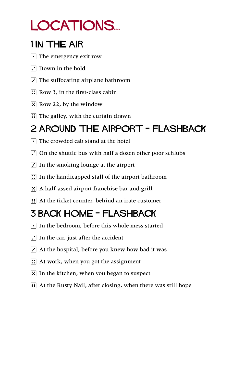## LOCATIONS...

#### 1 In The Air

- $\lceil \cdot \rceil$  The emergency exit row
- $\Gamma$  Down in the hold
- $\overline{3}$  The suffocating airplane bathroom
- $\boxed{\therefore}$  Row 3, in the first-class cabin
- $\mathbb{E}$  Row 22, by the window
- $\mathbf{F}$  The galley, with the curtain drawn

#### 2 Around the Airport - Flashback

- $\lceil \cdot \rceil$  The crowded cab stand at the hotel
- $\Gamma$  On the shuttle bus with half a dozen other poor schlubs
- $\ddot{\cdot}$  In the smoking lounge at the airport
- $\therefore$  In the handicapped stall of the airport bathroom
- $\mathbb{E}$  A half-assed airport franchise bar and grill
- **11** At the ticket counter, behind an irate customer

#### 3 Back Home - flashback

- $\lceil \cdot \rceil$  In the bedroom, before this whole mess started
- $\Gamma$  In the car, just after the accident
- $\ddot{\cdot}$  At the hospital, before you knew how bad it was
- $\mathbb{R}$  At work, when you got the assignment
- $\mathbb{E}$  In the kitchen, when you began to suspect
- **11** At the Rusty Nail, after closing, when there was still hope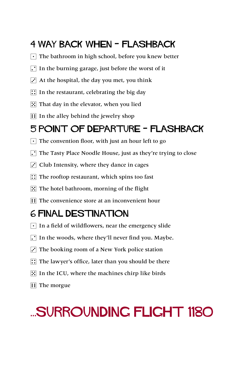#### 4 Way Back When - flashback

- $\lceil \cdot \rceil$  The bathroom in high school, before you knew better
- $\Gamma$  In the burning garage, just before the worst of it
- $\vec{v}$  At the hospital, the day you met, you think
- $\boxed{\therefore}$  In the restaurant, celebrating the big day
- $\mathbb{E}$  That day in the elevator, when you lied
- $\mathbf{F}$  In the alley behind the jewelry shop

#### 5 Point of Departure - Flashback

- $\lceil \cdot \rceil$  The convention floor, with just an hour left to go
- The Tasty Place Noodle House, just as they're trying to close
- $\cdot$  Club Intensity, where they dance in cages
- $\mathbb{R}$  The rooftop restaurant, which spins too fast
- $\mathbb{E}$  The hotel bathroom, morning of the flight
- **Fig.** The convenience store at an inconvenient hour

#### 6 Final Destination

- $\lceil \cdot \rceil$  In a field of wildflowers, near the emergency slide
- $\Gamma$  In the woods, where they'll never find you. Maybe.
- $\ddot{\cdot}$  The booking room of a New York police station
- $\therefore$  The lawyer's office, later than you should be there
- $\mathbb{E}$  In the ICU, where the machines chirp like birds
- $\overline{H}$  The morgue

### ...Surrounding Flight 1180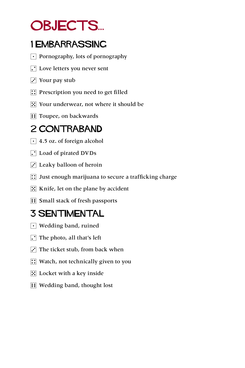### OBJECTS...

#### 1 EMBARRASSING

- $\lceil \cdot \rceil$  Pornography, lots of pornography
- $\Gamma$  Love letters you never sent
- $\overline{S}$  Your pay stub
- $\boxed{\therefore}$  Prescription you need to get filled
- $\mathbb{E}$  Your underwear, not where it should be
- **1** Toupee, on backwards

#### 2 CONTRABAND

- $\cdot$  4.5 oz. of foreign alcohol
- 2 Load of pirated DVDs
- $\cdot$  Leaky balloon of heroin
- $\left| \right|$  Just enough marijuana to secure a trafficking charge
- $\boxed{5}$  Knife, let on the plane by accident
- **11 Small stack of fresh passports**

#### 3 Sentimental

- $\lceil \cdot \rceil$  Wedding band, ruined
- $\Gamma$  The photo, all that's left
- $\overline{3}$  The ticket stub, from back when
- $\boxed{\therefore}$  Watch, not technically given to you
- $\boxed{5}$  Locket with a key inside
- **1**: Wedding band, thought lost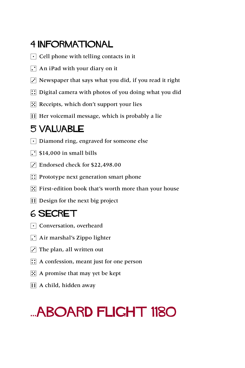#### 4 Informational

- $\lceil \cdot \rceil$  Cell phone with telling contacts in it
- $\lceil \cdot \rceil$  An iPad with your diary on it
- $\overline{3}$  Newspaper that says what you did, if you read it right
- $\therefore$  Digital camera with photos of you doing what you did
- $\mathbb{E}$  Receipts, which don't support your lies
- $\mathbf{H}$  Her voicemail message, which is probably a lie

#### 5 Valuable

- $\lceil \cdot \rceil$  Diamond ring, engraved for someone else
- $\lceil \cdot \rceil$  \$14,000 in small bills
- $\vec{3}$  Endorsed check for \$22,498.00
- $\mathbb{R}$  Prototype next generation smart phone
- $\mathbb{E}$  First-edition book that's worth more than your house
- **11** Design for the next big project

#### 6 SECRET

- $\lceil \cdot \rceil$  Conversation, overheard
- $\Gamma$  Air marshal's Zippo lighter
- $\Gamma$  The plan, all written out
- $\mathbb{R}$  A confession, meant just for one person
- $\mathbb{E}$  A promise that may yet be kept
- **1** A child, hidden away

### ...Aboard Flight 1180